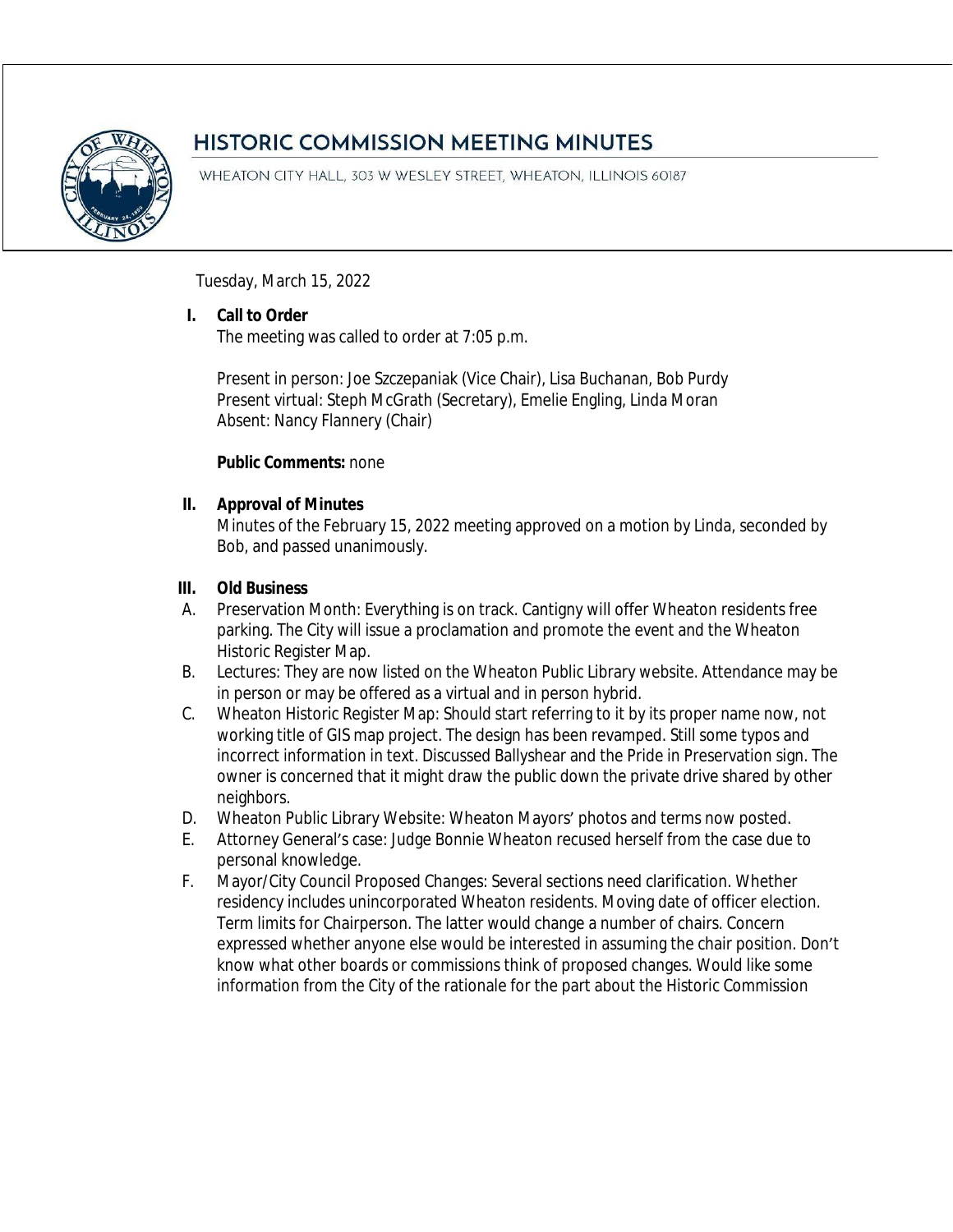

# **HISTORIC COMMISSION MEETING MINUTES**

WHEATON CITY HALL, 303 W WESLEY STREET, WHEATON, ILLINOIS 60187

Tuesday, March 15, 2022

### **I. Call to Order**

The meeting was called to order at 7:05 p.m.

Present in person: Joe Szczepaniak (Vice Chair), Lisa Buchanan, Bob Purdy Present virtual: Steph McGrath (Secretary), Emelie Engling, Linda Moran Absent: Nancy Flannery (Chair)

### **Public Comments:** none

### **II. Approval of Minutes**

Minutes of the February 15, 2022 meeting approved on a motion by Linda, seconded by Bob, and passed unanimously.

### **III. Old Business**

- A. Preservation Month: Everything is on track. Cantigny will offer Wheaton residents free parking. The City will issue a proclamation and promote the event and the Wheaton Historic Register Map.
- B. Lectures: They are now listed on the Wheaton Public Library website. Attendance may be in person or may be offered as a virtual and in person hybrid.
- C. Wheaton Historic Register Map: Should start referring to it by its proper name now, not working title of GIS map project. The design has been revamped. Still some typos and incorrect information in text. Discussed Ballyshear and the Pride in Preservation sign. The owner is concerned that it might draw the public down the private drive shared by other neighbors.
- D. Wheaton Public Library Website: Wheaton Mayors' photos and terms now posted.
- E. Attorney General's case: Judge Bonnie Wheaton recused herself from the case due to personal knowledge.
- F. Mayor/City Council Proposed Changes: Several sections need clarification. Whether residency includes unincorporated Wheaton residents. Moving date of officer election. Term limits for Chairperson. The latter would change a number of chairs. Concern expressed whether anyone else would be interested in assuming the chair position. Don't know what other boards or commissions think of proposed changes. Would like some information from the City of the rationale for the part about the Historic Commission